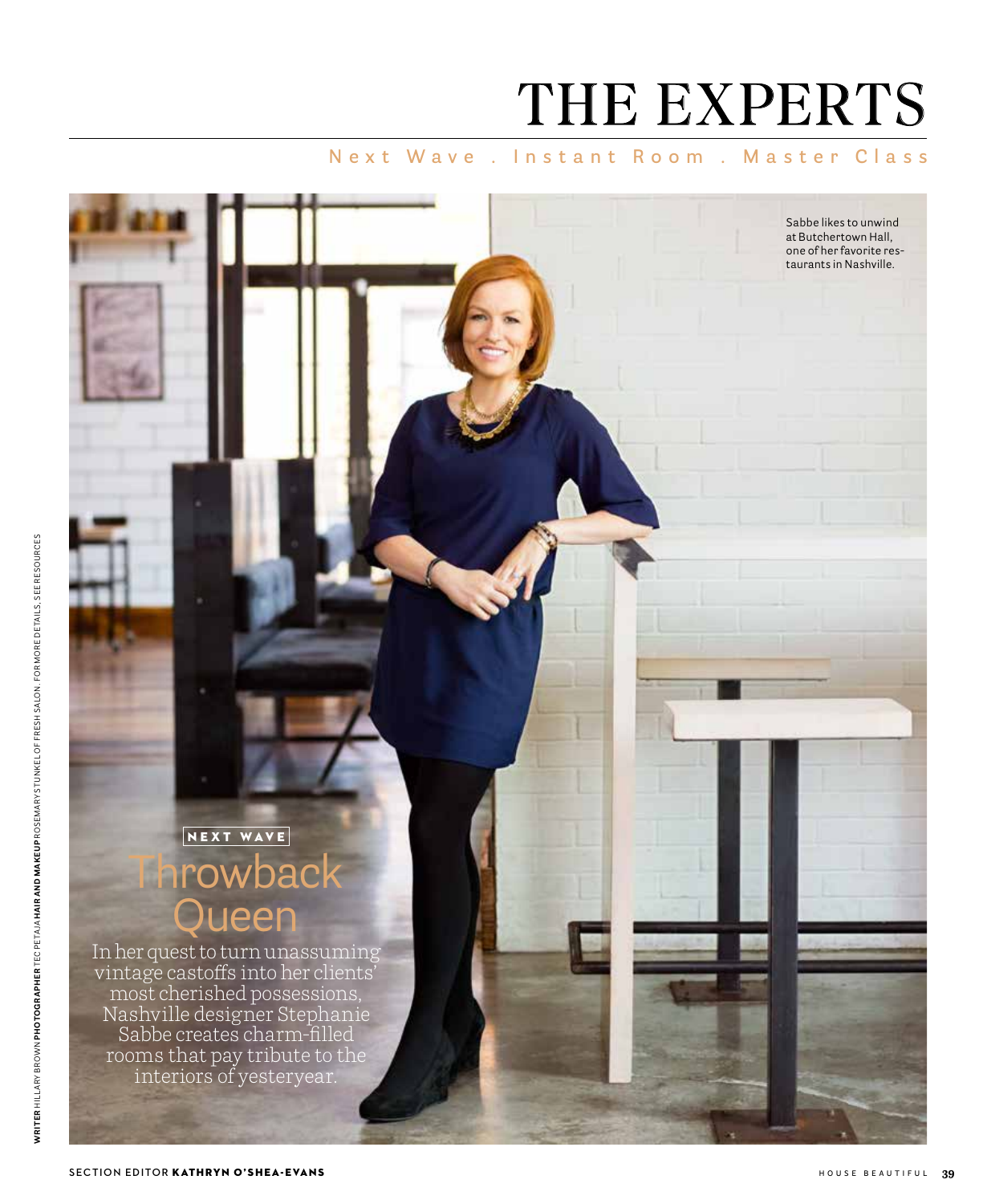# THE EXPERTS

Sabbe likes to unwind at Butchertown Hall, one of her favorite restaurants in Nashville.

## Next Wave, Instant Room, Master Class

# NEXT WAVE Throwback lueen

In her quest to turn unassuming vintage castoffs into her clients' most cherished possessions, Nashville designer Stephanie Sabbe creates charm-filled rooms that pay tribute to the interiors of yesteryear.